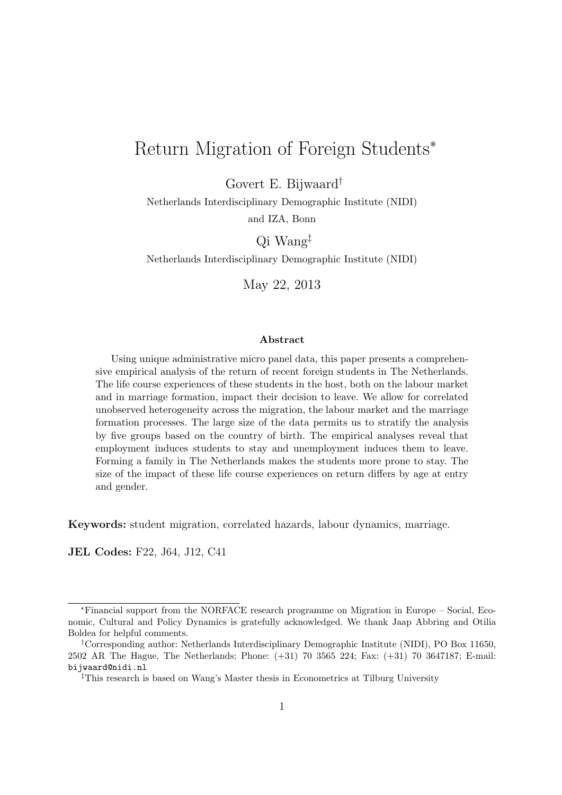## Return Migration of Foreign Students*<sup>∗</sup>*

Govert E. Bijwaard*†*

Netherlands Interdisciplinary Demographic Institute (NIDI) and IZA, Bonn

Qi Wang*‡*

Netherlands Interdisciplinary Demographic Institute (NIDI)

May 22, 2013

#### **Abstract**

Using unique administrative micro panel data, this paper presents a comprehensive empirical analysis of the return of recent foreign students in The Netherlands. The life course experiences of these students in the host, both on the labour market and in marriage formation, impact their decision to leave. We allow for correlated unobserved heterogeneity across the migration, the labour market and the marriage formation processes. The large size of the data permits us to stratify the analysis by five groups based on the country of birth. The empirical analyses reveal that employment induces students to stay and unemployment induces them to leave. Forming a family in The Netherlands makes the students more prone to stay. The size of the impact of these life course experiences on return differs by age at entry and gender.

**Keywords:** student migration, correlated hazards, labour dynamics, marriage.

**JEL Codes:** F22, J64, J12, C41

*<sup>∗</sup>*Financial support from the NORFACE research programme on Migration in Europe – Social, Economic, Cultural and Policy Dynamics is gratefully acknowledged. We thank Jaap Abbring and Otilia Boldea for helpful comments.

*<sup>†</sup>*Corresponding author: Netherlands Interdisciplinary Demographic Institute (NIDI), PO Box 11650, 2502 AR The Hague, The Netherlands; Phone: (+31) 70 3565 224; Fax: (+31) 70 3647187; E-mail: bijwaard@nidi.nl

*<sup>‡</sup>*This research is based on Wang's Master thesis in Econometrics at Tilburg University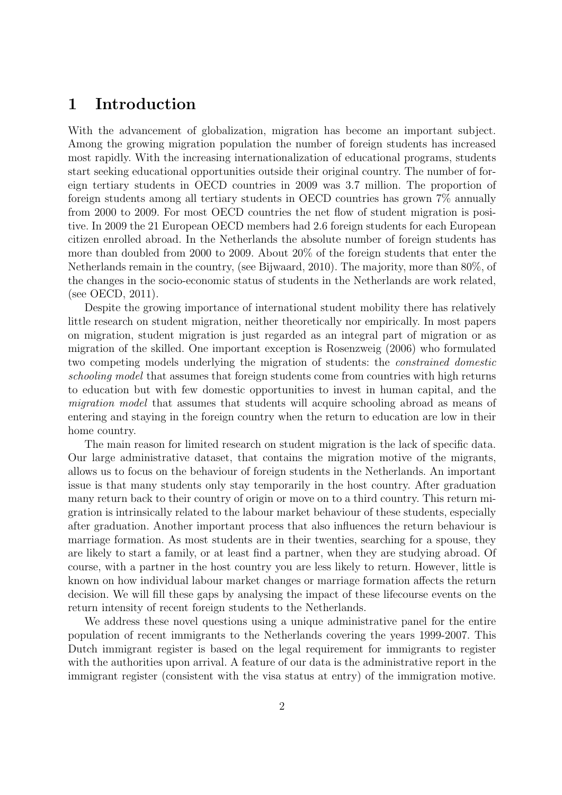## **1 Introduction**

With the advancement of globalization, migration has become an important subject. Among the growing migration population the number of foreign students has increased most rapidly. With the increasing internationalization of educational programs, students start seeking educational opportunities outside their original country. The number of foreign tertiary students in OECD countries in 2009 was 3.7 million. The proportion of foreign students among all tertiary students in OECD countries has grown 7% annually from 2000 to 2009. For most OECD countries the net flow of student migration is positive. In 2009 the 21 European OECD members had 2.6 foreign students for each European citizen enrolled abroad. In the Netherlands the absolute number of foreign students has more than doubled from 2000 to 2009. About 20% of the foreign students that enter the Netherlands remain in the country, (see Bijwaard, 2010). The majority, more than 80%, of the changes in the socio-economic status of students in the Netherlands are work related, (see OECD, 2011).

Despite the growing importance of international student mobility there has relatively little research on student migration, neither theoretically nor empirically. In most papers on migration, student migration is just regarded as an integral part of migration or as migration of the skilled. One important exception is Rosenzweig (2006) who formulated two competing models underlying the migration of students: the *constrained domestic schooling model* that assumes that foreign students come from countries with high returns to education but with few domestic opportunities to invest in human capital, and the *migration model* that assumes that students will acquire schooling abroad as means of entering and staying in the foreign country when the return to education are low in their home country.

The main reason for limited research on student migration is the lack of specific data. Our large administrative dataset, that contains the migration motive of the migrants, allows us to focus on the behaviour of foreign students in the Netherlands. An important issue is that many students only stay temporarily in the host country. After graduation many return back to their country of origin or move on to a third country. This return migration is intrinsically related to the labour market behaviour of these students, especially after graduation. Another important process that also influences the return behaviour is marriage formation. As most students are in their twenties, searching for a spouse, they are likely to start a family, or at least find a partner, when they are studying abroad. Of course, with a partner in the host country you are less likely to return. However, little is known on how individual labour market changes or marriage formation affects the return decision. We will fill these gaps by analysing the impact of these lifecourse events on the return intensity of recent foreign students to the Netherlands.

We address these novel questions using a unique administrative panel for the entire population of recent immigrants to the Netherlands covering the years 1999-2007. This Dutch immigrant register is based on the legal requirement for immigrants to register with the authorities upon arrival. A feature of our data is the administrative report in the immigrant register (consistent with the visa status at entry) of the immigration motive.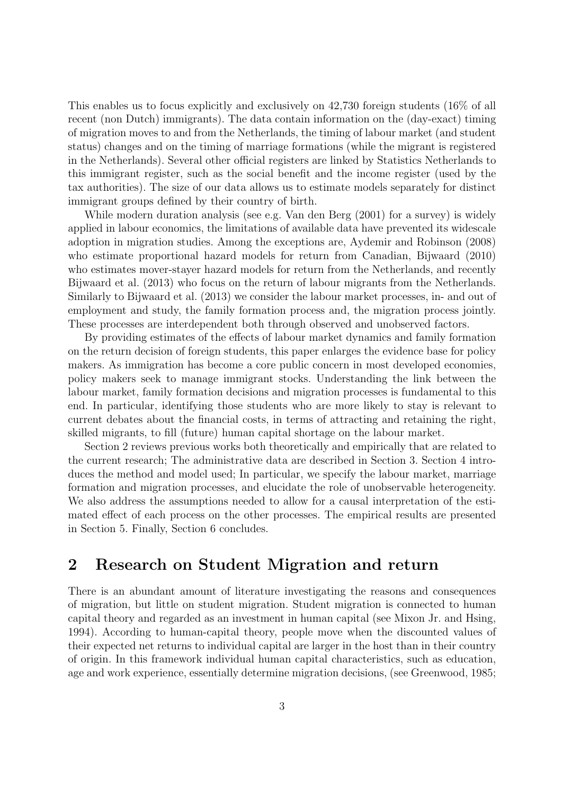This enables us to focus explicitly and exclusively on 42,730 foreign students (16% of all recent (non Dutch) immigrants). The data contain information on the (day-exact) timing of migration moves to and from the Netherlands, the timing of labour market (and student status) changes and on the timing of marriage formations (while the migrant is registered in the Netherlands). Several other official registers are linked by Statistics Netherlands to this immigrant register, such as the social benefit and the income register (used by the tax authorities). The size of our data allows us to estimate models separately for distinct immigrant groups defined by their country of birth.

While modern duration analysis (see e.g. Van den Berg (2001) for a survey) is widely applied in labour economics, the limitations of available data have prevented its widescale adoption in migration studies. Among the exceptions are, Aydemir and Robinson (2008) who estimate proportional hazard models for return from Canadian, Bijwaard (2010) who estimates mover-stayer hazard models for return from the Netherlands, and recently Bijwaard et al. (2013) who focus on the return of labour migrants from the Netherlands. Similarly to Bijwaard et al. (2013) we consider the labour market processes, in- and out of employment and study, the family formation process and, the migration process jointly. These processes are interdependent both through observed and unobserved factors.

By providing estimates of the effects of labour market dynamics and family formation on the return decision of foreign students, this paper enlarges the evidence base for policy makers. As immigration has become a core public concern in most developed economies, policy makers seek to manage immigrant stocks. Understanding the link between the labour market, family formation decisions and migration processes is fundamental to this end. In particular, identifying those students who are more likely to stay is relevant to current debates about the financial costs, in terms of attracting and retaining the right, skilled migrants, to fill (future) human capital shortage on the labour market.

Section 2 reviews previous works both theoretically and empirically that are related to the current research; The administrative data are described in Section 3. Section 4 introduces the method and model used; In particular, we specify the labour market, marriage formation and migration processes, and elucidate the role of unobservable heterogeneity. We also address the assumptions needed to allow for a causal interpretation of the estimated effect of each process on the other processes. The empirical results are presented in Section 5. Finally, Section 6 concludes.

## **2 Research on Student Migration and return**

There is an abundant amount of literature investigating the reasons and consequences of migration, but little on student migration. Student migration is connected to human capital theory and regarded as an investment in human capital (see Mixon Jr. and Hsing, 1994). According to human-capital theory, people move when the discounted values of their expected net returns to individual capital are larger in the host than in their country of origin. In this framework individual human capital characteristics, such as education, age and work experience, essentially determine migration decisions, (see Greenwood, 1985;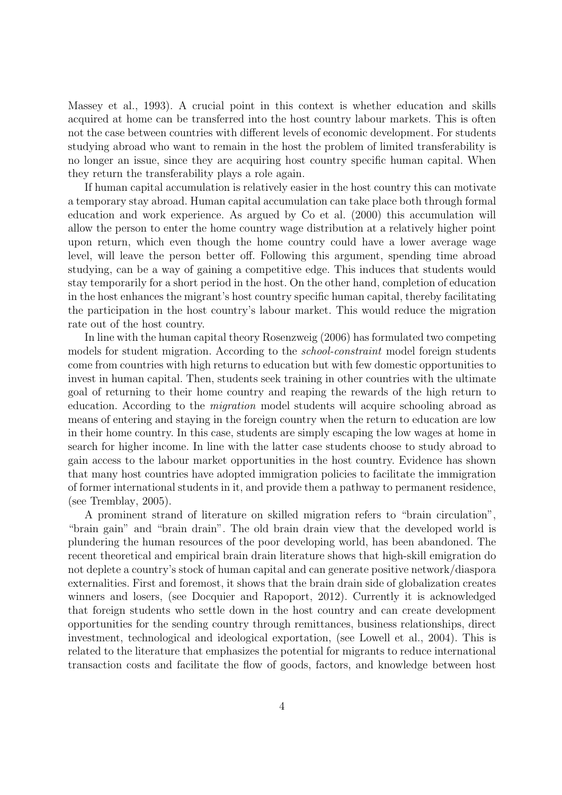Massey et al., 1993). A crucial point in this context is whether education and skills acquired at home can be transferred into the host country labour markets. This is often not the case between countries with different levels of economic development. For students studying abroad who want to remain in the host the problem of limited transferability is no longer an issue, since they are acquiring host country specific human capital. When they return the transferability plays a role again.

If human capital accumulation is relatively easier in the host country this can motivate a temporary stay abroad. Human capital accumulation can take place both through formal education and work experience. As argued by Co et al. (2000) this accumulation will allow the person to enter the home country wage distribution at a relatively higher point upon return, which even though the home country could have a lower average wage level, will leave the person better off. Following this argument, spending time abroad studying, can be a way of gaining a competitive edge. This induces that students would stay temporarily for a short period in the host. On the other hand, completion of education in the host enhances the migrant's host country specific human capital, thereby facilitating the participation in the host country's labour market. This would reduce the migration rate out of the host country.

In line with the human capital theory Rosenzweig (2006) has formulated two competing models for student migration. According to the *school-constraint* model foreign students come from countries with high returns to education but with few domestic opportunities to invest in human capital. Then, students seek training in other countries with the ultimate goal of returning to their home country and reaping the rewards of the high return to education. According to the *migration* model students will acquire schooling abroad as means of entering and staying in the foreign country when the return to education are low in their home country. In this case, students are simply escaping the low wages at home in search for higher income. In line with the latter case students choose to study abroad to gain access to the labour market opportunities in the host country. Evidence has shown that many host countries have adopted immigration policies to facilitate the immigration of former international students in it, and provide them a pathway to permanent residence, (see Tremblay, 2005).

A prominent strand of literature on skilled migration refers to "brain circulation", "brain gain" and "brain drain". The old brain drain view that the developed world is plundering the human resources of the poor developing world, has been abandoned. The recent theoretical and empirical brain drain literature shows that high-skill emigration do not deplete a country's stock of human capital and can generate positive network/diaspora externalities. First and foremost, it shows that the brain drain side of globalization creates winners and losers, (see Docquier and Rapoport, 2012). Currently it is acknowledged that foreign students who settle down in the host country and can create development opportunities for the sending country through remittances, business relationships, direct investment, technological and ideological exportation, (see Lowell et al., 2004). This is related to the literature that emphasizes the potential for migrants to reduce international transaction costs and facilitate the flow of goods, factors, and knowledge between host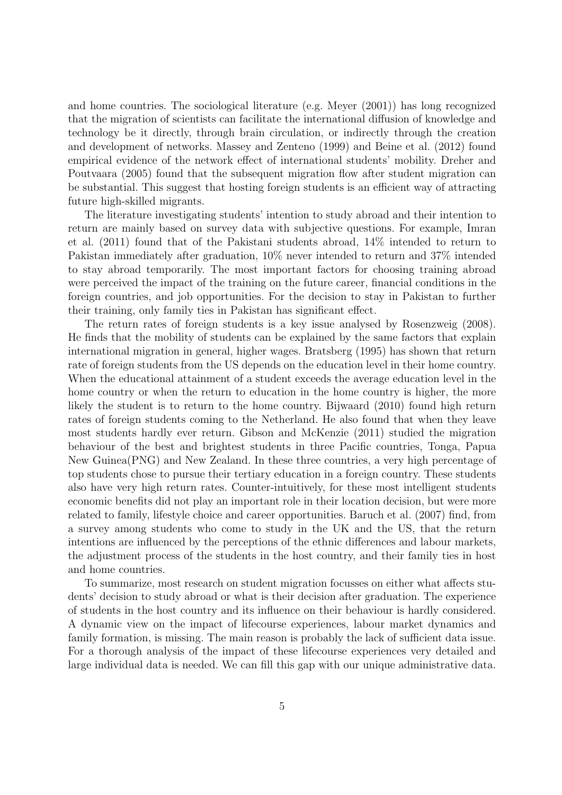and home countries. The sociological literature (e.g. Meyer (2001)) has long recognized that the migration of scientists can facilitate the international diffusion of knowledge and technology be it directly, through brain circulation, or indirectly through the creation and development of networks. Massey and Zenteno (1999) and Beine et al. (2012) found empirical evidence of the network effect of international students' mobility. Dreher and Poutvaara (2005) found that the subsequent migration flow after student migration can be substantial. This suggest that hosting foreign students is an efficient way of attracting future high-skilled migrants.

The literature investigating students' intention to study abroad and their intention to return are mainly based on survey data with subjective questions. For example, Imran et al. (2011) found that of the Pakistani students abroad, 14% intended to return to Pakistan immediately after graduation, 10% never intended to return and 37% intended to stay abroad temporarily. The most important factors for choosing training abroad were perceived the impact of the training on the future career, financial conditions in the foreign countries, and job opportunities. For the decision to stay in Pakistan to further their training, only family ties in Pakistan has significant effect.

The return rates of foreign students is a key issue analysed by Rosenzweig (2008). He finds that the mobility of students can be explained by the same factors that explain international migration in general, higher wages. Bratsberg (1995) has shown that return rate of foreign students from the US depends on the education level in their home country. When the educational attainment of a student exceeds the average education level in the home country or when the return to education in the home country is higher, the more likely the student is to return to the home country. Bijwaard (2010) found high return rates of foreign students coming to the Netherland. He also found that when they leave most students hardly ever return. Gibson and McKenzie (2011) studied the migration behaviour of the best and brightest students in three Pacific countries, Tonga, Papua New Guinea(PNG) and New Zealand. In these three countries, a very high percentage of top students chose to pursue their tertiary education in a foreign country. These students also have very high return rates. Counter-intuitively, for these most intelligent students economic benefits did not play an important role in their location decision, but were more related to family, lifestyle choice and career opportunities. Baruch et al. (2007) find, from a survey among students who come to study in the UK and the US, that the return intentions are influenced by the perceptions of the ethnic differences and labour markets, the adjustment process of the students in the host country, and their family ties in host and home countries.

To summarize, most research on student migration focusses on either what affects students' decision to study abroad or what is their decision after graduation. The experience of students in the host country and its influence on their behaviour is hardly considered. A dynamic view on the impact of lifecourse experiences, labour market dynamics and family formation, is missing. The main reason is probably the lack of sufficient data issue. For a thorough analysis of the impact of these lifecourse experiences very detailed and large individual data is needed. We can fill this gap with our unique administrative data.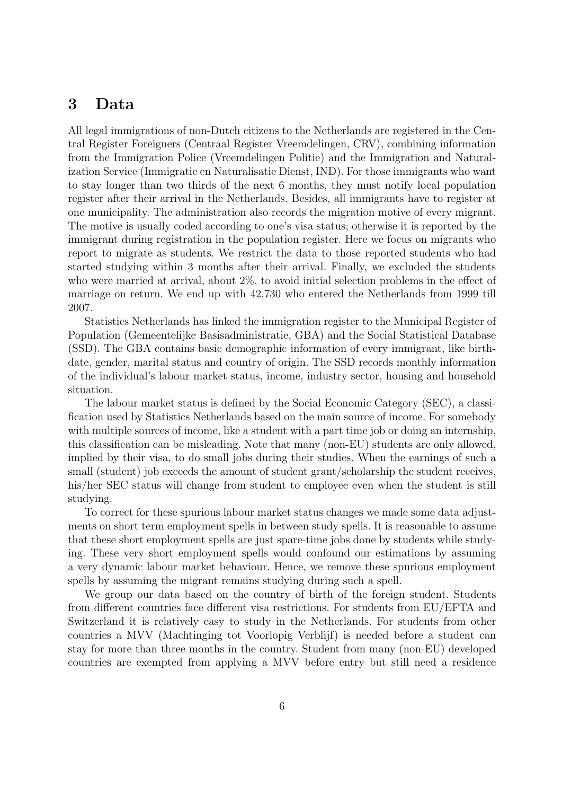## **3 Data**

All legal immigrations of non-Dutch citizens to the Netherlands are registered in the Central Register Foreigners (Centraal Register Vreemdelingen, CRV), combining information from the Immigration Police (Vreemdelingen Politie) and the Immigration and Naturalization Service (Immigratie en Naturalisatie Dienst, IND). For those immigrants who want to stay longer than two thirds of the next 6 months, they must notify local population register after their arrival in the Netherlands. Besides, all immigrants have to register at one municipality. The administration also records the migration motive of every migrant. The motive is usually coded according to one's visa status; otherwise it is reported by the immigrant during registration in the population register. Here we focus on migrants who report to migrate as students. We restrict the data to those reported students who had started studying within 3 months after their arrival. Finally, we excluded the students who were married at arrival, about 2%, to avoid initial selection problems in the effect of marriage on return. We end up with 42,730 who entered the Netherlands from 1999 till 2007.

Statistics Netherlands has linked the immigration register to the Municipal Register of Population (Gemeentelijke Basisadministratie, GBA) and the Social Statistical Database (SSD). The GBA contains basic demographic information of every immigrant, like birthdate, gender, marital status and country of origin. The SSD records monthly information of the individual's labour market status, income, industry sector, housing and household situation.

The labour market status is defined by the Social Economic Category (SEC), a classification used by Statistics Netherlands based on the main source of income. For somebody with multiple sources of income, like a student with a part time job or doing an internship, this classification can be misleading. Note that many (non-EU) students are only allowed, implied by their visa, to do small jobs during their studies. When the earnings of such a small (student) job exceeds the amount of student grant/scholarship the student receives, his/her SEC status will change from student to employee even when the student is still studying.

To correct for these spurious labour market status changes we made some data adjustments on short term employment spells in between study spells. It is reasonable to assume that these short employment spells are just spare-time jobs done by students while studying. These very short employment spells would confound our estimations by assuming a very dynamic labour market behaviour. Hence, we remove these spurious employment spells by assuming the migrant remains studying during such a spell.

We group our data based on the country of birth of the foreign student. Students from different countries face different visa restrictions. For students from EU/EFTA and Switzerland it is relatively easy to study in the Netherlands. For students from other countries a MVV (Machtinging tot Voorlopig Verblijf) is needed before a student can stay for more than three months in the country. Student from many (non-EU) developed countries are exempted from applying a MVV before entry but still need a residence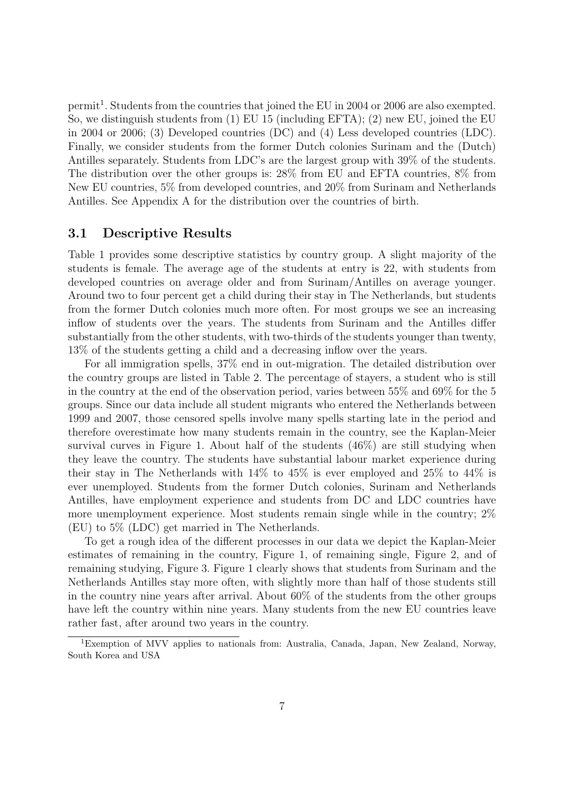permit<sup>1</sup>. Students from the countries that joined the EU in 2004 or 2006 are also exempted. So, we distinguish students from (1) EU 15 (including EFTA); (2) new EU, joined the EU in 2004 or 2006; (3) Developed countries (DC) and (4) Less developed countries (LDC). Finally, we consider students from the former Dutch colonies Surinam and the (Dutch) Antilles separately. Students from LDC's are the largest group with 39% of the students. The distribution over the other groups is: 28% from EU and EFTA countries, 8% from New EU countries, 5% from developed countries, and 20% from Surinam and Netherlands Antilles. See Appendix A for the distribution over the countries of birth.

#### **3.1 Descriptive Results**

Table 1 provides some descriptive statistics by country group. A slight majority of the students is female. The average age of the students at entry is 22, with students from developed countries on average older and from Surinam/Antilles on average younger. Around two to four percent get a child during their stay in The Netherlands, but students from the former Dutch colonies much more often. For most groups we see an increasing inflow of students over the years. The students from Surinam and the Antilles differ substantially from the other students, with two-thirds of the students younger than twenty, 13% of the students getting a child and a decreasing inflow over the years.

For all immigration spells, 37% end in out-migration. The detailed distribution over the country groups are listed in Table 2. The percentage of stayers, a student who is still in the country at the end of the observation period, varies between 55% and 69% for the 5 groups. Since our data include all student migrants who entered the Netherlands between 1999 and 2007, those censored spells involve many spells starting late in the period and therefore overestimate how many students remain in the country, see the Kaplan-Meier survival curves in Figure 1. About half of the students (46%) are still studying when they leave the country. The students have substantial labour market experience during their stay in The Netherlands with 14% to 45% is ever employed and 25% to 44% is ever unemployed. Students from the former Dutch colonies, Surinam and Netherlands Antilles, have employment experience and students from DC and LDC countries have more unemployment experience. Most students remain single while in the country; 2% (EU) to 5% (LDC) get married in The Netherlands.

To get a rough idea of the different processes in our data we depict the Kaplan-Meier estimates of remaining in the country, Figure 1, of remaining single, Figure 2, and of remaining studying, Figure 3. Figure 1 clearly shows that students from Surinam and the Netherlands Antilles stay more often, with slightly more than half of those students still in the country nine years after arrival. About 60% of the students from the other groups have left the country within nine years. Many students from the new EU countries leave rather fast, after around two years in the country.

<sup>1</sup>Exemption of MVV applies to nationals from: Australia, Canada, Japan, New Zealand, Norway, South Korea and USA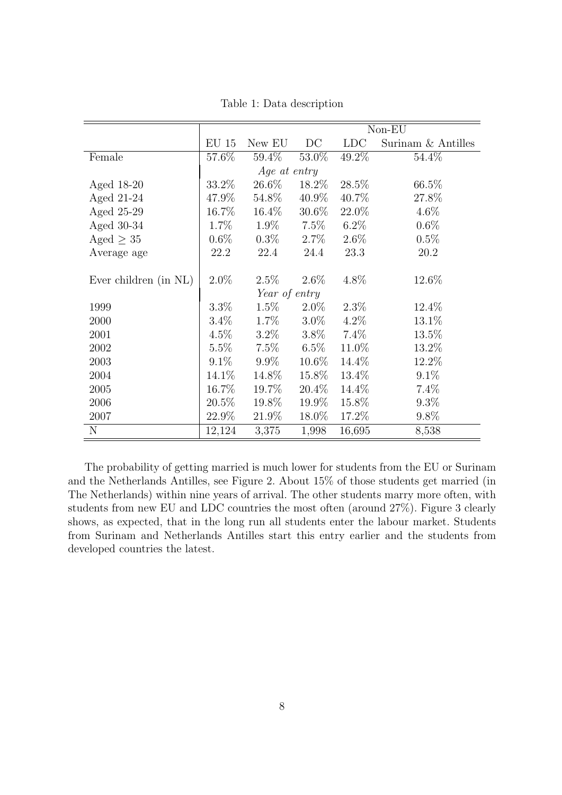|                       | Non-EU       |               |          |            |                    |  |  |  |
|-----------------------|--------------|---------------|----------|------------|--------------------|--|--|--|
|                       | <b>EU 15</b> | New EU        | DC       | <b>LDC</b> | Surinam & Antilles |  |  |  |
| Female                | 57.6%        | 59.4%         | 53.0%    | 49.2%      | 54.4%              |  |  |  |
|                       |              | Age at entry  |          |            |                    |  |  |  |
| Aged 18-20            | 33.2\%       | 26.6%         | 18.2\%   | 28.5%      | 66.5%              |  |  |  |
| Aged 21-24            | 47.9%        | 54.8%         | 40.9%    | 40.7%      | 27.8%              |  |  |  |
| Aged 25-29            | 16.7%        | $16.4\%$      | $30.6\%$ | 22.0%      | $4.6\%$            |  |  |  |
| Aged 30-34            | 1.7%         | 1.9%          | 7.5%     | $6.2\%$    | $0.6\%$            |  |  |  |
| Aged $\geq 35$        | $0.6\%$      | $0.3\%$       | $2.7\%$  | $2.6\%$    | 0.5%               |  |  |  |
| Average age           | 22.2         | 22.4          | 24.4     | 23.3       | 20.2               |  |  |  |
|                       |              |               |          |            |                    |  |  |  |
| Ever children (in NL) | $2.0\%$      | $2.5\%$       | $2.6\%$  | 4.8%       | 12.6%              |  |  |  |
|                       |              | Year of entry |          |            |                    |  |  |  |
| 1999                  | $3.3\%$      | $1.5\%$       | $2.0\%$  | $2.3\%$    | 12.4%              |  |  |  |
| 2000                  | $3.4\%$      | $1.7\%$       | $3.0\%$  | $4.2\%$    | 13.1%              |  |  |  |
| 2001                  | $4.5\%$      | $3.2\%$       | $3.8\%$  | $7.4\%$    | 13.5%              |  |  |  |
| 2002                  | $5.5\%$      | 7.5%          | $6.5\%$  | 11.0%      | 13.2%              |  |  |  |
| 2003                  | $9.1\%$      | $9.9\%$       | $10.6\%$ | 14.4%      | 12.2%              |  |  |  |
| 2004                  | 14.1\%       | 14.8%         | 15.8%    | 13.4%      | 9.1%               |  |  |  |
| 2005                  | 16.7%        | 19.7%         | $20.4\%$ | 14.4%      | 7.4%               |  |  |  |
| 2006                  | $20.5\%$     | 19.8%         | 19.9%    | 15.8%      | $9.3\%$            |  |  |  |
| 2007                  | 22.9%        | 21.9%         | 18.0%    | 17.2%      | 9.8%               |  |  |  |
| N                     | 12,124       | 3,375         | 1,998    | 16,695     | 8,538              |  |  |  |

Table 1: Data description

The probability of getting married is much lower for students from the EU or Surinam and the Netherlands Antilles, see Figure 2. About 15% of those students get married (in The Netherlands) within nine years of arrival. The other students marry more often, with students from new EU and LDC countries the most often (around 27%). Figure 3 clearly shows, as expected, that in the long run all students enter the labour market. Students from Surinam and Netherlands Antilles start this entry earlier and the students from developed countries the latest.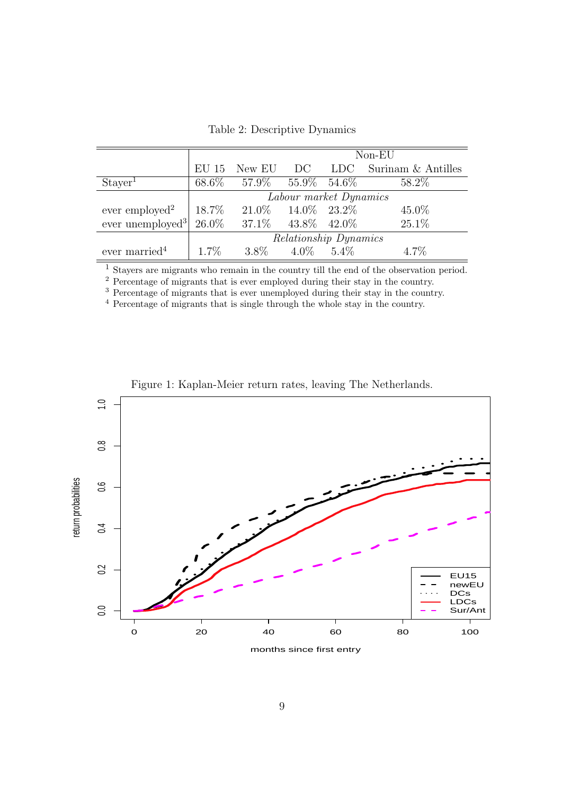|                                                      |                        | $Non-EU$                            |  |  |                                        |  |  |
|------------------------------------------------------|------------------------|-------------------------------------|--|--|----------------------------------------|--|--|
|                                                      |                        |                                     |  |  | EU 15 New EU DC LDC Surinam & Antilles |  |  |
| Stayer <sup>1</sup>                                  |                        | 68.6\% 57.9\% 55.9\% 54.6\%         |  |  | 58.2%                                  |  |  |
|                                                      | Labour market Dynamics |                                     |  |  |                                        |  |  |
| ever employed <sup>2</sup>                           |                        | $18.7\%$ $21.0\%$ $14.0\%$ $23.2\%$ |  |  | $45.0\%$                               |  |  |
| ever unemployed <sup>3</sup> 26.0% 37.1% 43.8% 42.0% |                        |                                     |  |  | 25.1%                                  |  |  |
|                                                      | Relationship Dynamics  |                                     |  |  |                                        |  |  |
| ever married $4$                                     | $1.7\%$                | $3.8\%$ $4.0\%$ $5.4\%$             |  |  | $4.7\%$                                |  |  |

Table 2: Descriptive Dynamics

<sup>1</sup> Stayers are migrants who remain in the country till the end of the observation period.

<sup>2</sup> Percentage of migrants that is ever employed during their stay in the country.

<sup>3</sup> Percentage of migrants that is ever unemployed during their stay in the country.

<sup>4</sup> Percentage of migrants that is single through the whole stay in the country.



Figure 1: Kaplan-Meier return rates, leaving The Netherlands.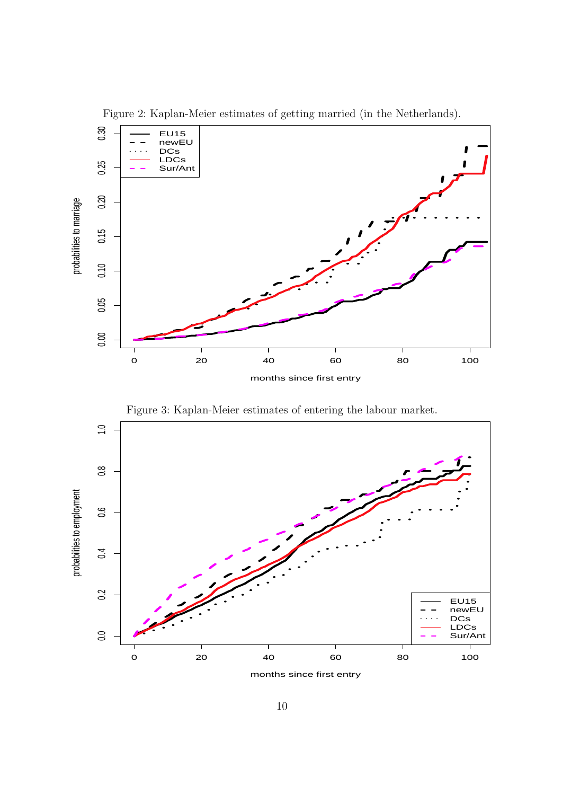

Figure 2: Kaplan-Meier estimates of getting married (in the Netherlands).

Figure 3: Kaplan-Meier estimates of entering the labour market.



months since first entry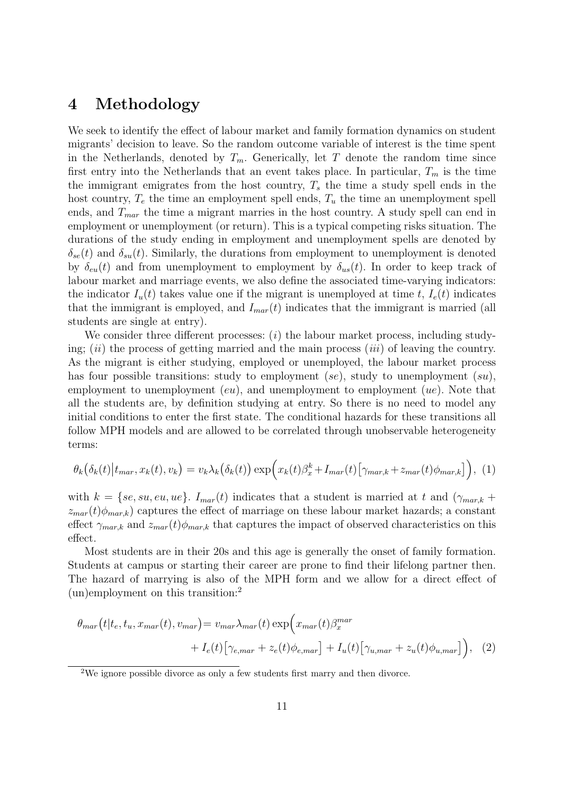## **4 Methodology**

We seek to identify the effect of labour market and family formation dynamics on student migrants' decision to leave. So the random outcome variable of interest is the time spent in the Netherlands, denoted by  $T_m$ . Generically, let  $T$  denote the random time since first entry into the Netherlands that an event takes place. In particular,  $T_m$  is the time the immigrant emigrates from the host country, *T<sup>s</sup>* the time a study spell ends in the host country,  $T_e$  the time an employment spell ends,  $T_u$  the time an unemployment spell ends, and *Tmar* the time a migrant marries in the host country. A study spell can end in employment or unemployment (or return). This is a typical competing risks situation. The durations of the study ending in employment and unemployment spells are denoted by  $\delta_{se}(t)$  and  $\delta_{su}(t)$ . Similarly, the durations from employment to unemployment is denoted by  $\delta_{eu}(t)$  and from unemployment to employment by  $\delta_{us}(t)$ . In order to keep track of labour market and marriage events, we also define the associated time-varying indicators: the indicator  $I_u(t)$  takes value one if the migrant is unemployed at time *t*,  $I_e(t)$  indicates that the immigrant is employed, and  $I_{mar}(t)$  indicates that the immigrant is married (all students are single at entry).

We consider three different processes: (*i*) the labour market process, including studying; (*ii*) the process of getting married and the main process (*iii*) of leaving the country. As the migrant is either studying, employed or unemployed, the labour market process has four possible transitions: study to employment (*se*), study to unemployment (*su*), employment to unemployment (*eu*), and unemployment to employment (*ue*). Note that all the students are, by definition studying at entry. So there is no need to model any initial conditions to enter the first state. The conditional hazards for these transitions all follow MPH models and are allowed to be correlated through unobservable heterogeneity terms:

$$
\theta_k(\delta_k(t)|t_{mar}, x_k(t), v_k) = v_k \lambda_k(\delta_k(t)) \exp\Bigl(x_k(t)\beta_x^k + I_{mar}(t)\bigl[\gamma_{mar,k} + z_{mar}(t)\phi_{mar,k}\bigr]\Bigr), \tag{1}
$$

with  $k = \{se, su, eu, ue\}$ .  $I_{mar}(t)$  indicates that a student is married at t and  $(\gamma_{mar,k} +$  $z_{mar}(t)\phi_{mar,k}$  captures the effect of marriage on these labour market hazards; a constant effect  $\gamma_{mark}$  and  $z_{mar}(t)\phi_{mar,k}$  that captures the impact of observed characteristics on this effect.

Most students are in their 20s and this age is generally the onset of family formation. Students at campus or starting their career are prone to find their lifelong partner then. The hazard of marrying is also of the MPH form and we allow for a direct effect of (un)employment on this transition:<sup>2</sup>

$$
\theta_{mar}(t|t_e, t_u, x_{mar}(t), v_{mar}) = v_{mar} \lambda_{mar}(t) \exp\left(x_{mar}(t)\beta_x^{mar} + I_e(t) \left[\gamma_{e,max} + z_e(t)\phi_{e,max}\right] + I_u(t) \left[\gamma_{u,max} + z_u(t)\phi_{u,max}\right]\right), \quad (2)
$$

<sup>&</sup>lt;sup>2</sup>We ignore possible divorce as only a few students first marry and then divorce.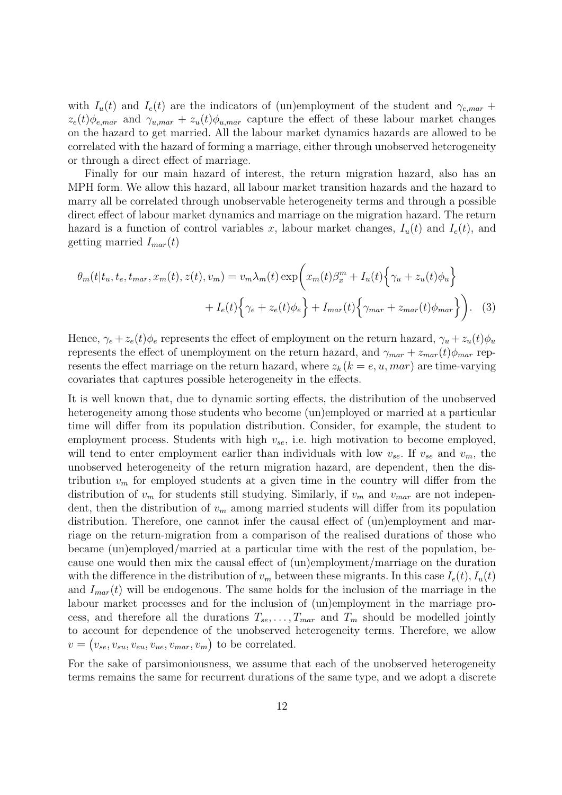with  $I_u(t)$  and  $I_e(t)$  are the indicators of (un)employment of the student and  $\gamma_{e, max}$  +  $z_e(t)\phi_{e, max}$  and  $\gamma_{u, max} + z_u(t)\phi_{u, max}$  capture the effect of these labour market changes on the hazard to get married. All the labour market dynamics hazards are allowed to be correlated with the hazard of forming a marriage, either through unobserved heterogeneity or through a direct effect of marriage.

Finally for our main hazard of interest, the return migration hazard, also has an MPH form. We allow this hazard, all labour market transition hazards and the hazard to marry all be correlated through unobservable heterogeneity terms and through a possible direct effect of labour market dynamics and marriage on the migration hazard. The return hazard is a function of control variables x, labour market changes,  $I_u(t)$  and  $I_e(t)$ , and getting married *Imar*(*t*)

$$
\theta_m(t|t_u, t_e, t_{mar}, x_m(t), z(t), v_m) = v_m \lambda_m(t) \exp\left(x_m(t)\beta_x^m + I_u(t)\left\{\gamma_u + z_u(t)\phi_u\right\}\right) + I_e(t)\left\{\gamma_e + z_e(t)\phi_e\right\} + I_{mar}(t)\left\{\gamma_{mar} + z_{mar}(t)\phi_{mar}\right\}\right).
$$
 (3)

Hence,  $\gamma_e + z_e(t)\phi_e$  represents the effect of employment on the return hazard,  $\gamma_u + z_u(t)\phi_u$ represents the effect of unemployment on the return hazard, and  $\gamma_{mar} + z_{mar}(t)\phi_{mar}$  represents the effect marriage on the return hazard, where  $z_k$  ( $k = e, u, mar$ ) are time-varying covariates that captures possible heterogeneity in the effects.

It is well known that, due to dynamic sorting effects, the distribution of the unobserved heterogeneity among those students who become (un)employed or married at a particular time will differ from its population distribution. Consider, for example, the student to employment process. Students with high  $v_{se}$ , i.e. high motivation to become employed, will tend to enter employment earlier than individuals with low  $v_{se}$ . If  $v_{se}$  and  $v_m$ , the unobserved heterogeneity of the return migration hazard, are dependent, then the distribution  $v_m$  for employed students at a given time in the country will differ from the distribution of  $v_m$  for students still studying. Similarly, if  $v_m$  and  $v_{mar}$  are not independent, then the distribution of *v<sup>m</sup>* among married students will differ from its population distribution. Therefore, one cannot infer the causal effect of (un)employment and marriage on the return-migration from a comparison of the realised durations of those who became (un)employed/married at a particular time with the rest of the population, because one would then mix the causal effect of (un)employment/marriage on the duration with the difference in the distribution of  $v_m$  between these migrants. In this case  $I_e(t)$ ,  $I_u(t)$ and  $I_{mar}(t)$  will be endogenous. The same holds for the inclusion of the marriage in the labour market processes and for the inclusion of (un)employment in the marriage process, and therefore all the durations  $T_{se}, \ldots, T_{mar}$  and  $T_m$  should be modelled jointly to account for dependence of the unobserved heterogeneity terms. Therefore, we allow  $v = (v_{se}, v_{su}, v_{eu}, v_{ue}, v_{mar}, v_m)$  to be correlated.

For the sake of parsimoniousness, we assume that each of the unobserved heterogeneity terms remains the same for recurrent durations of the same type, and we adopt a discrete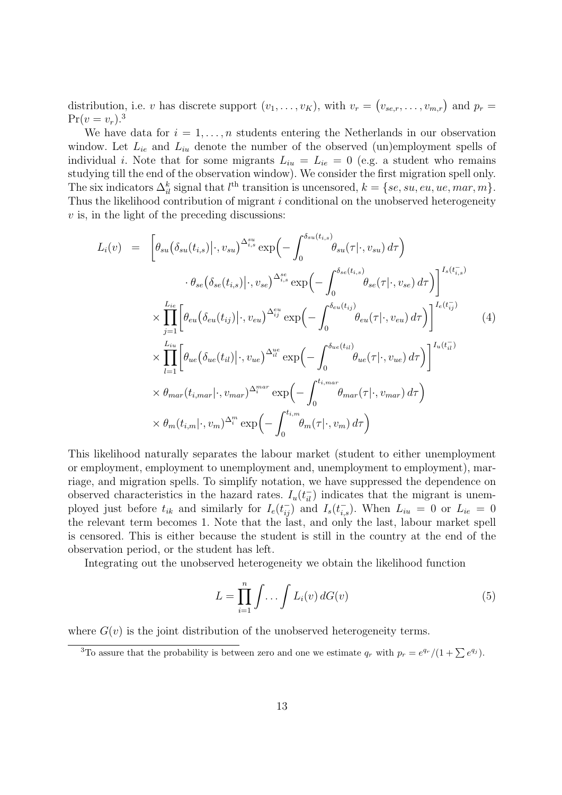distribution, i.e. *v* has discrete support  $(v_1, \ldots, v_K)$ , with  $v_r = (v_{se,r}, \ldots, v_{m,r})$  and  $p_r =$  $Pr(v = v_r).$ <sup>3</sup>

We have data for  $i = 1, \ldots, n$  students entering the Netherlands in our observation window. Let  $L_{ie}$  and  $L_{iu}$  denote the number of the observed (un)employment spells of individual *i*. Note that for some migrants  $L_{iu} = L_{ie} = 0$  (e.g. a student who remains studying till the end of the observation window). We consider the first migration spell only. The six indicators  $\Delta_i^k$  signal that  $l^{\text{th}}$  transition is uncensored,  $k = \{se, su, eu, ue, mar, m\}$ . Thus the likelihood contribution of migrant *i* conditional on the unobserved heterogeneity *v* is, in the light of the preceding discussions:

$$
L_i(v) = \left[ \theta_{su}(\delta_{su}(t_{i,s})|\cdot, v_{su})^{\Delta_{i,s}^{su}} \exp\left(-\int_0^{\delta_{su}(t_{i,s})} \theta_{su}(\tau|\cdot, v_{su}) d\tau\right) \right. \left. \theta_{se}(\delta_{se}(t_{i,s})|\cdot, v_{se})^{\Delta_{i,s}^{se}} \exp\left(-\int_0^{\delta_{se}(t_{i,s})} \theta_{se}(\tau|\cdot, v_{se}) d\tau\right) \right]^{I_s(t_{i,s}^-)} \times \prod_{j=1}^{L_{ie}} \left[ \theta_{eu}(\delta_{eu}(t_{ij})|\cdot, v_{eu})^{\Delta_{ij}^{eu}} \exp\left(-\int_0^{\delta_{eu}(t_{ij})} \theta_{eu}(\tau|\cdot, v_{eu}) d\tau\right) \right]^{I_e(t_{ij}^-)} \times \prod_{l=1}^{L_{iu}} \left[ \theta_{ue}(\delta_{ue}(t_{il})|\cdot, v_{ue})^{\Delta_{il}^{ue}} \exp\left(-\int_0^{\delta_{ue}(t_{il})} \theta_{ue}(\tau|\cdot, v_{ue}) d\tau\right) \right]^{I_u(t_{il}^-)} \times \theta_{mar}(t_{i,max}|\cdot, v_{mar})^{\Delta_i^{mar}} \exp\left(-\int_0^{t_{i,max}} \theta_{mar}(\tau|\cdot, v_{mar}) d\tau\right) \times \theta_m(t_{i,m}|\cdot, v_m)^{\Delta_i^{m}} \exp\left(-\int_0^{t_{i,m}} \theta_m(\tau|\cdot, v_m) d\tau\right)
$$

This likelihood naturally separates the labour market (student to either unemployment or employment, employment to unemployment and, unemployment to employment), marriage, and migration spells. To simplify notation, we have suppressed the dependence on observed characteristics in the hazard rates.  $I_u(t_{ii}^-)$  indicates that the migrant is unemployed just before  $t_{ik}$  and similarly for  $I_e(t_{ij}^-)$  and  $I_s(t_{i,s}^-)$ . When  $L_{iu} = 0$  or  $L_{ie} = 0$ the relevant term becomes 1. Note that the last, and only the last, labour market spell is censored. This is either because the student is still in the country at the end of the observation period, or the student has left.

Integrating out the unobserved heterogeneity we obtain the likelihood function

$$
L = \prod_{i=1}^{n} \int \ldots \int L_i(v) dG(v)
$$
\n(5)

where  $G(v)$  is the joint distribution of the unobserved heterogeneity terms.

<sup>3</sup>To assure that the probability is between zero and one we estimate  $q_r$  with  $p_r = e^{q_r}/(1 + \sum e^{q_j})$ .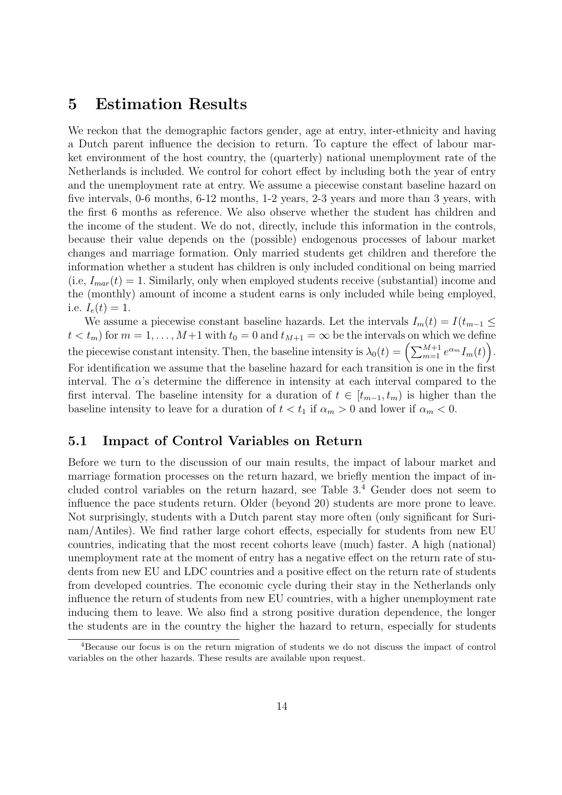### **5 Estimation Results**

We reckon that the demographic factors gender, age at entry, inter-ethnicity and having a Dutch parent influence the decision to return. To capture the effect of labour market environment of the host country, the (quarterly) national unemployment rate of the Netherlands is included. We control for cohort effect by including both the year of entry and the unemployment rate at entry. We assume a piecewise constant baseline hazard on five intervals, 0-6 months, 6-12 months, 1-2 years, 2-3 years and more than 3 years, with the first 6 months as reference. We also observe whether the student has children and the income of the student. We do not, directly, include this information in the controls, because their value depends on the (possible) endogenous processes of labour market changes and marriage formation. Only married students get children and therefore the information whether a student has children is only included conditional on being married  $(i.e, I_{mar}(t) = 1$ . Similarly, only when employed students receive (substantial) income and the (monthly) amount of income a student earns is only included while being employed, i.e.  $I_e(t) = 1$ .

We assume a piecewise constant baseline hazards. Let the intervals  $I_m(t) = I(t_{m-1} \leq$  $t < t_m$  for  $m = 1, \ldots, M+1$  with  $t_0 = 0$  and  $t_{M+1} = \infty$  be the intervals on which we define the piecewise constant intensity. Then, the baseline intensity is  $\lambda_0(t) = \left(\sum_{m=1}^{M+1} e^{\alpha_m} I_m(t)\right)$ . For identification we assume that the baseline hazard for each transition is one in the first interval. The  $\alpha$ 's determine the difference in intensity at each interval compared to the first interval. The baseline intensity for a duration of  $t \in [t_{m-1}, t_m)$  is higher than the baseline intensity to leave for a duration of  $t < t_1$  if  $\alpha_m > 0$  and lower if  $\alpha_m < 0$ .

#### **5.1 Impact of Control Variables on Return**

Before we turn to the discussion of our main results, the impact of labour market and marriage formation processes on the return hazard, we briefly mention the impact of included control variables on the return hazard, see Table 3.<sup>4</sup> Gender does not seem to influence the pace students return. Older (beyond 20) students are more prone to leave. Not surprisingly, students with a Dutch parent stay more often (only significant for Surinam/Antiles). We find rather large cohort effects, especially for students from new EU countries, indicating that the most recent cohorts leave (much) faster. A high (national) unemployment rate at the moment of entry has a negative effect on the return rate of students from new EU and LDC countries and a positive effect on the return rate of students from developed countries. The economic cycle during their stay in the Netherlands only influence the return of students from new EU countries, with a higher unemployment rate inducing them to leave. We also find a strong positive duration dependence, the longer the students are in the country the higher the hazard to return, especially for students

<sup>4</sup>Because our focus is on the return migration of students we do not discuss the impact of control variables on the other hazards. These results are available upon request.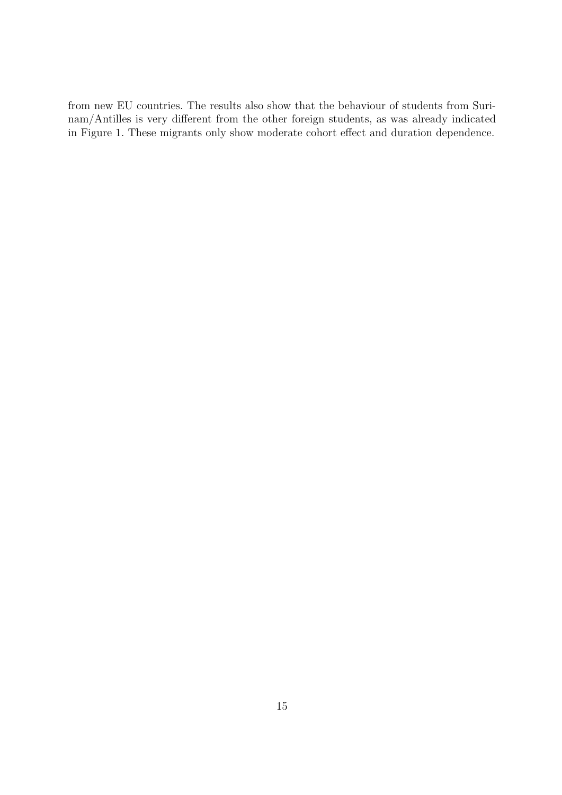from new EU countries. The results also show that the behaviour of students from Surinam/Antilles is very different from the other foreign students, as was already indicated in Figure 1. These migrants only show moderate cohort effect and duration dependence.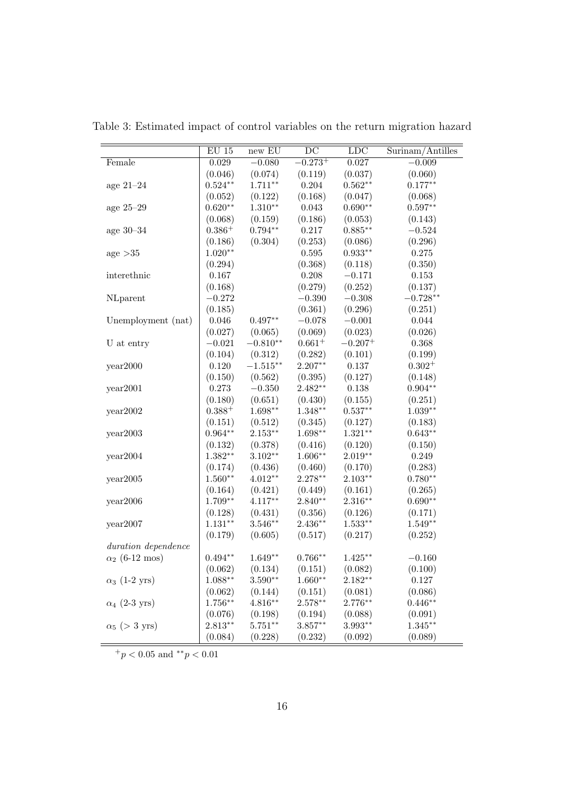|                       | $\mathrm{EU}$ 15   | $new$ $EU$  | DC                    | LDC        | Surinam/Antilles |
|-----------------------|--------------------|-------------|-----------------------|------------|------------------|
| Female                | $\,0.029\,$        | $-0.080$    | $-0.273^{+}$          | 0.027      | $-0.009$         |
|                       | (0.046)            | (0.074)     | (0.119)               | (0.037)    | (0.060)          |
| age $21-24$           | $0.524**$          | $1.711***$  | 0.204                 | $0.562**$  | $0.177**$        |
|                       | (0.052)            | (0.122)     | (0.168)               | (0.047)    | (0.068)          |
| age 25-29             | $0.620**$          | $1.310**$   | 0.043                 | $0.690**$  | $0.597**$        |
|                       | (0.068)            | (0.159)     | (0.186)               | (0.053)    | (0.143)          |
| age $30-34$           | $0.386+$           | $0.794**$   | 0.217                 | $0.885**$  | $-0.524$         |
|                       | (0.186)            | (0.304)     | (0.253)               | (0.086)    | (0.296)          |
| age $>35$             | $1.020**$          |             | 0.595                 | $0.933**$  | $0.275\,$        |
|                       | (0.294)            |             | (0.368)               | (0.118)    | (0.350)          |
| interethnic           | 0.167              |             | 0.208                 | $-0.171$   | $0.153\,$        |
|                       | (0.168)            |             | (0.279)               | (0.252)    | (0.137)          |
| NLparent              | $-0.272$           |             | $-0.390$              | $-0.308$   | $-0.728**$       |
|                       | (0.185)            |             | (0.361)               | (0.296)    | (0.251)          |
| Unemployment (nat)    | 0.046              | $0.497**$   | $-0.078$              | $-0.001\,$ | 0.044            |
|                       | (0.027)            | (0.065)     | (0.069)               | (0.023)    | (0.026)          |
| U at entry            | $-0.021$           | $-0.810**$  | $0.661^{+}$           | $-0.207+$  | 0.368            |
|                       | (0.104)            | (0.312)     | (0.282)               | (0.101)    | (0.199)          |
| year2000              | 0.120              | $-1.515***$ | $2.207**$             | $0.137\,$  | $0.302^{+}$      |
|                       | (0.150)            | (0.562)     | (0.395)               | (0.127)    | (0.148)          |
| year2001              | 0.273              | $-0.350$    | $2.482**$             | $0.138\,$  | $0.904**$        |
|                       | (0.180)            | (0.651)     | (0.430)               | (0.155)    | (0.251)          |
| year2002              | $0.388^{+}$        | $1.698**$   | $1.348**$             | $0.537**$  | $1.039**$        |
|                       | (0.151)            | (0.512)     | (0.345)               | (0.127)    | (0.183)          |
| year2003              | $0.964**$          | $2.153**$   | $1.698**$             | $1.321**$  | $0.643**$        |
|                       | (0.132)            | (0.378)     | (0.416)               | (0.120)    | (0.150)          |
| year2004              | $1.382**$          | $3.102**$   | $1.606**$             | $2.019**$  | 0.249            |
|                       | (0.174)            | (0.436)     | (0.460)               | (0.170)    | (0.283)          |
| year2005              | $1.560**$          | $4.012**$   | $2.278**$             | $2.103**$  | $0.780**$        |
|                       | (0.164)            | (0.421)     | (0.449)               | (0.161)    | (0.265)          |
| year2006              | $1.709**$          | $4.117**$   | $2.840**$             | $2.316**$  | $0.690**$        |
|                       | (0.128)            | (0.431)     | (0.356)               | (0.126)    | (0.171)          |
| year2007              | $1.131**$          | $3.546**$   | $2.436**$             | $1.533**$  | $1.549**$        |
|                       | (0.179)            | (0.605)     | (0.517)               | (0.217)    | (0.252)          |
| duration dependence   |                    |             |                       |            |                  |
| $\alpha_2$ (6-12 mos) | $0.494^{\ast\ast}$ | $1.649**$   | $0.766**$             | $1.425***$ | $-0.160$         |
|                       | (0.062)            | (0.134)     | (0.151)               | (0.082)    | (0.100)          |
| $\alpha_3$ (1-2 yrs)  | $1.088**$          | $3.590**$   | $1.660**$             | $2.182**$  | 0.127            |
|                       | (0.062)            | (0.144)     | (0.151)               | (0.081)    | (0.086)          |
| $\alpha_4$ (2-3 yrs)  | $1.756**$          | $4.816**$   | $2.578**$             | $2.776**$  | $0.446**$        |
|                       | (0.076)            | (0.198)     | (0.194)               | (0.088)    | (0.091)          |
| $\alpha_5$ (> 3 yrs)  | $2.813**$          | $5.751**$   | $3.857**$             | $3.993**$  | $1.345***$       |
|                       | (0.084)            | (0.228)     | $\left( 0.232\right)$ | (0.092)    | (0.089)          |

Table 3: Estimated impact of control variables on the return migration hazard

<sup>+</sup>*p <* 0*.*05 and *∗∗p <* 0*.*01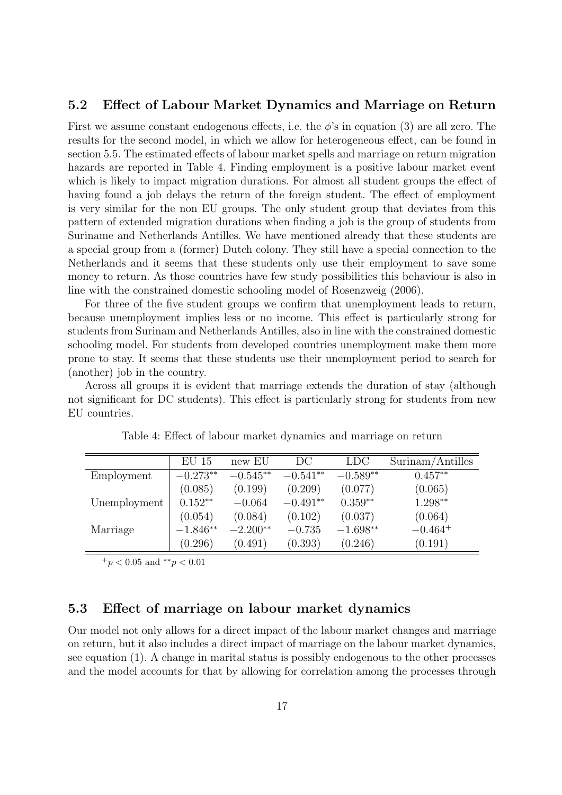#### **5.2 Effect of Labour Market Dynamics and Marriage on Return**

First we assume constant endogenous effects, i.e. the *ϕ*'s in equation (3) are all zero. The results for the second model, in which we allow for heterogeneous effect, can be found in section 5.5. The estimated effects of labour market spells and marriage on return migration hazards are reported in Table 4. Finding employment is a positive labour market event which is likely to impact migration durations. For almost all student groups the effect of having found a job delays the return of the foreign student. The effect of employment is very similar for the non EU groups. The only student group that deviates from this pattern of extended migration durations when finding a job is the group of students from Suriname and Netherlands Antilles. We have mentioned already that these students are a special group from a (former) Dutch colony. They still have a special connection to the Netherlands and it seems that these students only use their employment to save some money to return. As those countries have few study possibilities this behaviour is also in line with the constrained domestic schooling model of Rosenzweig (2006).

For three of the five student groups we confirm that unemployment leads to return, because unemployment implies less or no income. This effect is particularly strong for students from Surinam and Netherlands Antilles, also in line with the constrained domestic schooling model. For students from developed countries unemployment make them more prone to stay. It seems that these students use their unemployment period to search for (another) job in the country.

Across all groups it is evident that marriage extends the duration of stay (although not significant for DC students). This effect is particularly strong for students from new EU countries.

|              | $EU$ 15    | new EU     | DС         | <b>LDC</b> | Surinam/Antilles |
|--------------|------------|------------|------------|------------|------------------|
| Employment   | $-0.273**$ | $-0.545**$ | $-0.541**$ | $-0.589**$ | $0.457**$        |
|              | (0.085)    | (0.199)    | (0.209)    | (0.077)    | (0.065)          |
| Unemployment | $0.152**$  | $-0.064$   | $-0.491**$ | $0.359**$  | $1.298**$        |
|              | (0.054)    | (0.084)    | (0.102)    | (0.037)    | (0.064)          |
| Marriage     | $-1.846**$ | $-2.200**$ | $-0.735$   | $-1.698**$ | $-0.464^{+}$     |
|              | (0.296)    | (0.491)    | (0.393)    | (0.246)    | (0.191)          |

Table 4: Effect of labour market dynamics and marriage on return

<sup>+</sup>*p <* 0*.*05 and *∗∗p <* 0*.*01

#### **5.3 Effect of marriage on labour market dynamics**

Our model not only allows for a direct impact of the labour market changes and marriage on return, but it also includes a direct impact of marriage on the labour market dynamics, see equation (1). A change in marital status is possibly endogenous to the other processes and the model accounts for that by allowing for correlation among the processes through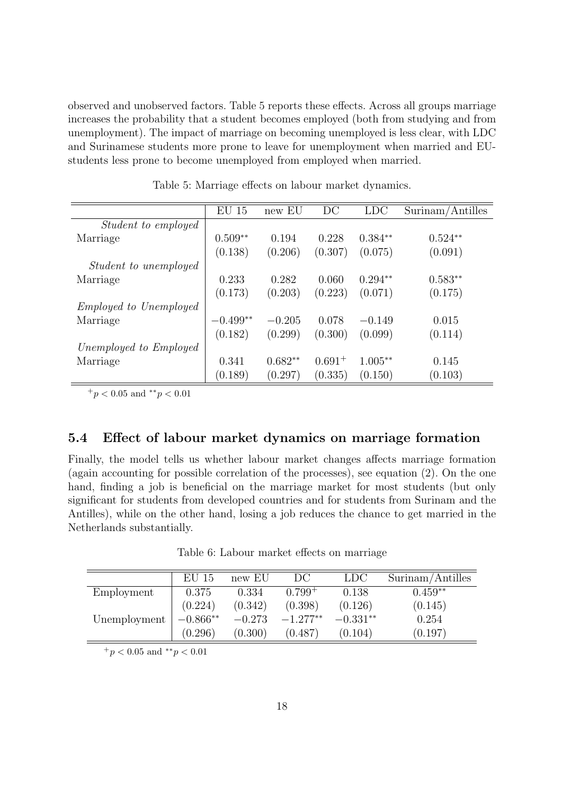observed and unobserved factors. Table 5 reports these effects. Across all groups marriage increases the probability that a student becomes employed (both from studying and from unemployment). The impact of marriage on becoming unemployed is less clear, with LDC and Surinamese students more prone to leave for unemployment when married and EUstudents less prone to become unemployed from employed when married.

|                               | $EU$ 15    | new EU    | DC          | <b>LDC</b> | Surinam/Antilles |
|-------------------------------|------------|-----------|-------------|------------|------------------|
| <i>Student to employed</i>    |            |           |             |            |                  |
| Marriage                      | $0.509**$  | 0.194     | 0.228       | $0.384**$  | $0.524**$        |
|                               | (0.138)    | (0.206)   | (0.307)     | (0.075)    | (0.091)          |
| <i>Student to unemployed</i>  |            |           |             |            |                  |
| Marriage                      | 0.233      | 0.282     | 0.060       | $0.294**$  | $0.583**$        |
|                               | (0.173)    | (0.203)   | (0.223)     | (0.071)    | (0.175)          |
| <i>Employed to Unemployed</i> |            |           |             |            |                  |
| Marriage                      | $-0.499**$ | $-0.205$  | 0.078       | $-0.149$   | 0.015            |
|                               | (0.182)    | (0.299)   | (0.300)     | (0.099)    | (0.114)          |
| Unemployed to Employed        |            |           |             |            |                  |
| Marriage                      | 0.341      | $0.682**$ | $0.691^{+}$ | $1.005**$  | 0.145            |
|                               | (0.189)    | (0.297)   | (0.335)     | (0.150)    | (0.103)          |

Table 5: Marriage effects on labour market dynamics.

<sup>+</sup>*p <* 0*.*05 and *∗∗p <* 0*.*01

### **5.4 Effect of labour market dynamics on marriage formation**

Finally, the model tells us whether labour market changes affects marriage formation (again accounting for possible correlation of the processes), see equation (2). On the one hand, finding a job is beneficial on the marriage market for most students (but only significant for students from developed countries and for students from Surinam and the Antilles), while on the other hand, losing a job reduces the chance to get married in the Netherlands substantially.

Table 6: Labour market effects on marriage

|              | EU 15      | new EU   | DC          | LDC.       | Surinam/Antilles |
|--------------|------------|----------|-------------|------------|------------------|
| Employment   | 0.375      | 0.334    | $0.799^{+}$ | 0.138      | $0.459**$        |
|              | (0.224)    | (0.342)  | (0.398)     | (0.126)    | (0.145)          |
| Unemployment | $-0.866**$ | $-0.273$ | $-1.277**$  | $-0.331**$ | 0.254            |
|              | (0.296)    | (0.300)  | (0.487)     | (0.104)    | (0.197)          |

<sup>+</sup>*p <* 0*.*05 and *∗∗p <* 0*.*01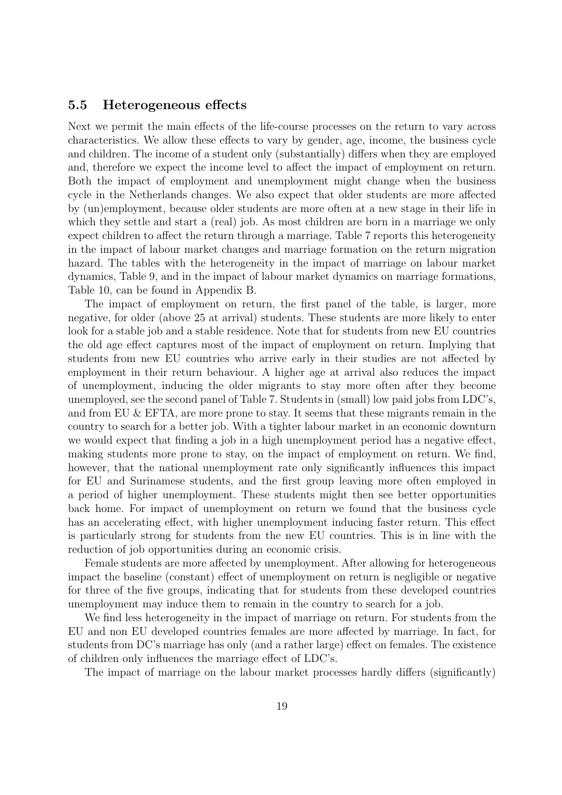#### **5.5 Heterogeneous effects**

Next we permit the main effects of the life-course processes on the return to vary across characteristics. We allow these effects to vary by gender, age, income, the business cycle and children. The income of a student only (substantially) differs when they are employed and, therefore we expect the income level to affect the impact of employment on return. Both the impact of employment and unemployment might change when the business cycle in the Netherlands changes. We also expect that older students are more affected by (un)employment, because older students are more often at a new stage in their life in which they settle and start a (real) job. As most children are born in a marriage we only expect children to affect the return through a marriage. Table 7 reports this heterogeneity in the impact of labour market changes and marriage formation on the return migration hazard. The tables with the heterogeneity in the impact of marriage on labour market dynamics, Table 9, and in the impact of labour market dynamics on marriage formations, Table 10, can be found in Appendix B.

The impact of employment on return, the first panel of the table, is larger, more negative, for older (above 25 at arrival) students. These students are more likely to enter look for a stable job and a stable residence. Note that for students from new EU countries the old age effect captures most of the impact of employment on return. Implying that students from new EU countries who arrive early in their studies are not affected by employment in their return behaviour. A higher age at arrival also reduces the impact of unemployment, inducing the older migrants to stay more often after they become unemployed, see the second panel of Table 7. Students in (small) low paid jobs from LDC's, and from EU & EFTA, are more prone to stay. It seems that these migrants remain in the country to search for a better job. With a tighter labour market in an economic downturn we would expect that finding a job in a high unemployment period has a negative effect, making students more prone to stay, on the impact of employment on return. We find, however, that the national unemployment rate only significantly influences this impact for EU and Surinamese students, and the first group leaving more often employed in a period of higher unemployment. These students might then see better opportunities back home. For impact of unemployment on return we found that the business cycle has an accelerating effect, with higher unemployment inducing faster return. This effect is particularly strong for students from the new EU countries. This is in line with the reduction of job opportunities during an economic crisis.

Female students are more affected by unemployment. After allowing for heterogeneous impact the baseline (constant) effect of unemployment on return is negligible or negative for three of the five groups, indicating that for students from these developed countries unemployment may induce them to remain in the country to search for a job.

We find less heterogeneity in the impact of marriage on return. For students from the EU and non EU developed countries females are more affected by marriage. In fact, for students from DC's marriage has only (and a rather large) effect on females. The existence of children only influences the marriage effect of LDC's.

The impact of marriage on the labour market processes hardly differs (significantly)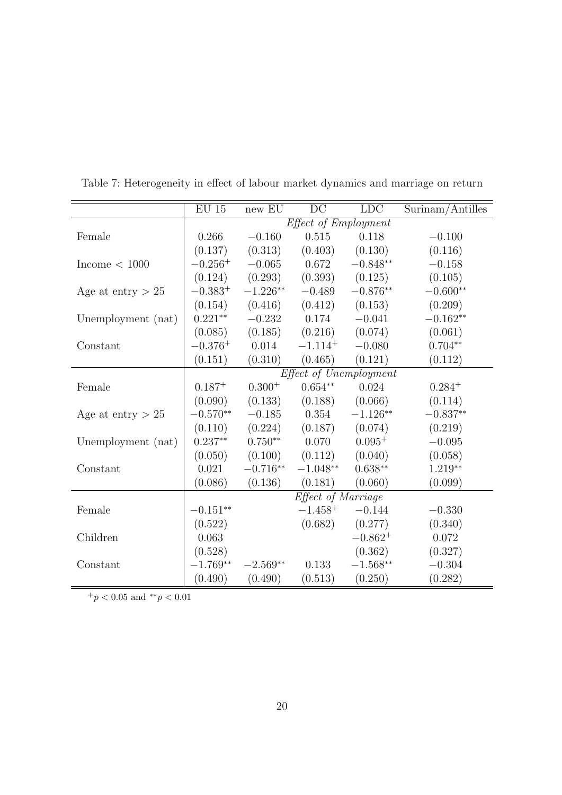|                     | $\mathrm{EU}$ 15 | new EU             | DC                   | <b>LDC</b>             | Surinam/Antilles |  |  |
|---------------------|------------------|--------------------|----------------------|------------------------|------------------|--|--|
|                     |                  |                    | Effect of Employment |                        |                  |  |  |
| Female              | 0.266            | $-0.160$           | 0.515                | 0.118                  | $-0.100$         |  |  |
|                     | (0.137)          | (0.313)            | (0.403)              | (0.130)                | (0.116)          |  |  |
| Income $< 1000$     | $-0.256^{+}$     | $-0.065$           | 0.672                | $-0.848**$             | $-0.158$         |  |  |
|                     | (0.124)          | (0.293)            | (0.393)              | (0.125)                | (0.105)          |  |  |
| Age at entry $> 25$ | $-0.383^{+}$     | $-1.226**$         | $-0.489$             | $-0.876**$             | $-0.600**$       |  |  |
|                     | (0.154)          | (0.416)            | (0.412)              | (0.153)                | (0.209)          |  |  |
| Unemployment (nat)  | $0.221**$        | $-0.232$           | 0.174                | $-0.041$               | $-0.162**$       |  |  |
|                     | (0.085)          | (0.185)            | (0.216)              | (0.074)                | (0.061)          |  |  |
| Constant            | $-0.376^{+}$     | 0.014              | $-1.114^{+}$         | $-0.080$               | $0.704**$        |  |  |
|                     | (0.151)          | (0.310)            | (0.465)              | (0.121)                | (0.112)          |  |  |
|                     |                  |                    |                      | Effect of Unemployment |                  |  |  |
| Female              | $0.187^{+}$      | $0.300+$           | $0.654**$            | 0.024                  | $0.284^{+}$      |  |  |
|                     | (0.090)          | (0.133)            | (0.188)              | (0.066)                | (0.114)          |  |  |
| Age at entry $> 25$ | $-0.570**$       | $-0.185$           | 0.354                | $-1.126**$             | $-0.837**$       |  |  |
|                     | (0.110)          | (0.224)            | (0.187)              | (0.074)                | (0.219)          |  |  |
| Unemployment (nat)  | $0.237**$        | $0.750**$          | 0.070                | $0.095+$               | $-0.095$         |  |  |
|                     | (0.050)          | (0.100)            | (0.112)              | (0.040)                | (0.058)          |  |  |
| Constant            | 0.021            | $-0.716**$         | $-1.048^{\ast\ast}$  | $0.638**$              | $1.219**$        |  |  |
|                     | (0.086)          | (0.136)            | (0.181)              | (0.060)                | (0.099)          |  |  |
|                     |                  | Effect of Marriage |                      |                        |                  |  |  |
| Female              | $-0.151**$       |                    | $-1.458^{+}$         | $-0.144$               | $-0.330$         |  |  |
|                     | (0.522)          |                    | (0.682)              | (0.277)                | (0.340)          |  |  |
| Children            | 0.063            |                    |                      | $-0.862^{+}$           | 0.072            |  |  |
|                     | (0.528)          |                    |                      | (0.362)                | (0.327)          |  |  |
| Constant            | $-1.769**$       | $-2.569**$         | 0.133                | $-1.568**$             | $-0.304$         |  |  |
|                     | (0.490)          | (0.490)            | (0.513)              | (0.250)                | (0.282)          |  |  |

Table 7: Heterogeneity in effect of labour market dynamics and marriage on return

 $+ p < 0.05$  and  $*^*p < 0.01$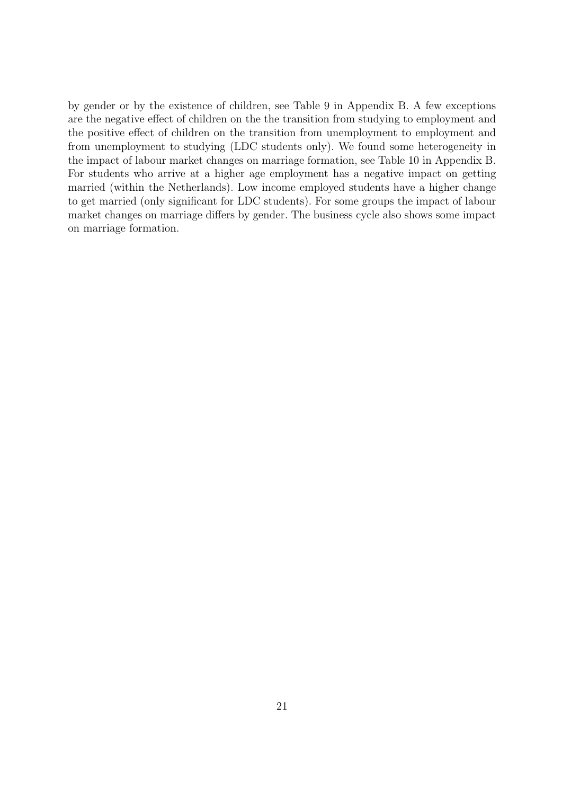by gender or by the existence of children, see Table 9 in Appendix B. A few exceptions are the negative effect of children on the the transition from studying to employment and the positive effect of children on the transition from unemployment to employment and from unemployment to studying (LDC students only). We found some heterogeneity in the impact of labour market changes on marriage formation, see Table 10 in Appendix B. For students who arrive at a higher age employment has a negative impact on getting married (within the Netherlands). Low income employed students have a higher change to get married (only significant for LDC students). For some groups the impact of labour market changes on marriage differs by gender. The business cycle also shows some impact on marriage formation.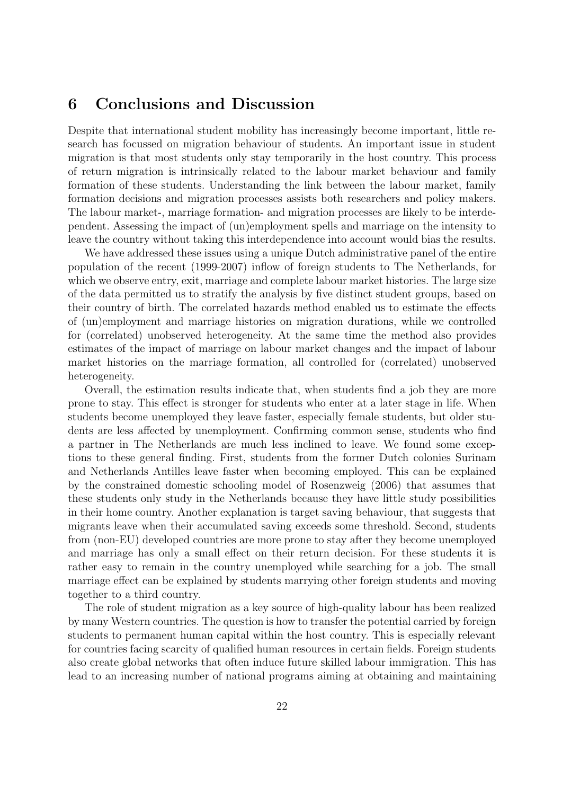## **6 Conclusions and Discussion**

Despite that international student mobility has increasingly become important, little research has focussed on migration behaviour of students. An important issue in student migration is that most students only stay temporarily in the host country. This process of return migration is intrinsically related to the labour market behaviour and family formation of these students. Understanding the link between the labour market, family formation decisions and migration processes assists both researchers and policy makers. The labour market-, marriage formation- and migration processes are likely to be interdependent. Assessing the impact of (un)employment spells and marriage on the intensity to leave the country without taking this interdependence into account would bias the results.

We have addressed these issues using a unique Dutch administrative panel of the entire population of the recent (1999-2007) inflow of foreign students to The Netherlands, for which we observe entry, exit, marriage and complete labour market histories. The large size of the data permitted us to stratify the analysis by five distinct student groups, based on their country of birth. The correlated hazards method enabled us to estimate the effects of (un)employment and marriage histories on migration durations, while we controlled for (correlated) unobserved heterogeneity. At the same time the method also provides estimates of the impact of marriage on labour market changes and the impact of labour market histories on the marriage formation, all controlled for (correlated) unobserved heterogeneity.

Overall, the estimation results indicate that, when students find a job they are more prone to stay. This effect is stronger for students who enter at a later stage in life. When students become unemployed they leave faster, especially female students, but older students are less affected by unemployment. Confirming common sense, students who find a partner in The Netherlands are much less inclined to leave. We found some exceptions to these general finding. First, students from the former Dutch colonies Surinam and Netherlands Antilles leave faster when becoming employed. This can be explained by the constrained domestic schooling model of Rosenzweig (2006) that assumes that these students only study in the Netherlands because they have little study possibilities in their home country. Another explanation is target saving behaviour, that suggests that migrants leave when their accumulated saving exceeds some threshold. Second, students from (non-EU) developed countries are more prone to stay after they become unemployed and marriage has only a small effect on their return decision. For these students it is rather easy to remain in the country unemployed while searching for a job. The small marriage effect can be explained by students marrying other foreign students and moving together to a third country.

The role of student migration as a key source of high-quality labour has been realized by many Western countries. The question is how to transfer the potential carried by foreign students to permanent human capital within the host country. This is especially relevant for countries facing scarcity of qualified human resources in certain fields. Foreign students also create global networks that often induce future skilled labour immigration. This has lead to an increasing number of national programs aiming at obtaining and maintaining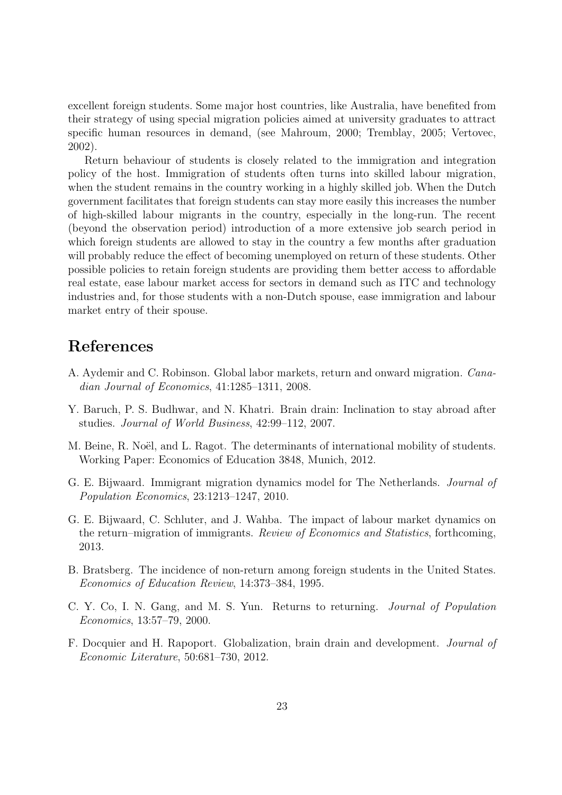excellent foreign students. Some major host countries, like Australia, have benefited from their strategy of using special migration policies aimed at university graduates to attract specific human resources in demand, (see Mahroum, 2000; Tremblay, 2005; Vertovec, 2002).

Return behaviour of students is closely related to the immigration and integration policy of the host. Immigration of students often turns into skilled labour migration, when the student remains in the country working in a highly skilled job. When the Dutch government facilitates that foreign students can stay more easily this increases the number of high-skilled labour migrants in the country, especially in the long-run. The recent (beyond the observation period) introduction of a more extensive job search period in which foreign students are allowed to stay in the country a few months after graduation will probably reduce the effect of becoming unemployed on return of these students. Other possible policies to retain foreign students are providing them better access to affordable real estate, ease labour market access for sectors in demand such as ITC and technology industries and, for those students with a non-Dutch spouse, ease immigration and labour market entry of their spouse.

## **References**

- A. Aydemir and C. Robinson. Global labor markets, return and onward migration. *Canadian Journal of Economics*, 41:1285–1311, 2008.
- Y. Baruch, P. S. Budhwar, and N. Khatri. Brain drain: Inclination to stay abroad after studies. *Journal of World Business*, 42:99–112, 2007.
- M. Beine, R. Noël, and L. Ragot. The determinants of international mobility of students. Working Paper: Economics of Education 3848, Munich, 2012.
- G. E. Bijwaard. Immigrant migration dynamics model for The Netherlands. *Journal of Population Economics*, 23:1213–1247, 2010.
- G. E. Bijwaard, C. Schluter, and J. Wahba. The impact of labour market dynamics on the return–migration of immigrants. *Review of Economics and Statistics*, forthcoming, 2013.
- B. Bratsberg. The incidence of non-return among foreign students in the United States. *Economics of Education Review*, 14:373–384, 1995.
- C. Y. Co, I. N. Gang, and M. S. Yun. Returns to returning. *Journal of Population Economics*, 13:57–79, 2000.
- F. Docquier and H. Rapoport. Globalization, brain drain and development. *Journal of Economic Literature*, 50:681–730, 2012.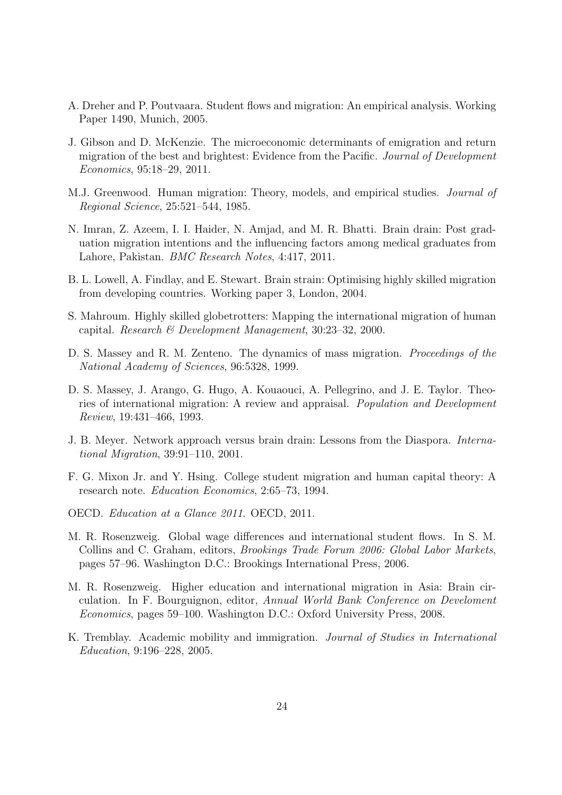- A. Dreher and P. Poutvaara. Student flows and migration: An empirical analysis. Working Paper 1490, Munich, 2005.
- J. Gibson and D. McKenzie. The microeconomic determinants of emigration and return migration of the best and brightest: Evidence from the Pacific. *Journal of Development Economics*, 95:18–29, 2011.
- M.J. Greenwood. Human migration: Theory, models, and empirical studies. *Journal of Regional Science*, 25:521–544, 1985.
- N. Imran, Z. Azeem, I. I. Haider, N. Amjad, and M. R. Bhatti. Brain drain: Post graduation migration intentions and the influencing factors among medical graduates from Lahore, Pakistan. *BMC Research Notes*, 4:417, 2011.
- B. L. Lowell, A. Findlay, and E. Stewart. Brain strain: Optimising highly skilled migration from developing countries. Working paper 3, London, 2004.
- S. Mahroum. Highly skilled globetrotters: Mapping the international migration of human capital. *Research & Development Management*, 30:23–32, 2000.
- D. S. Massey and R. M. Zenteno. The dynamics of mass migration. *Proceedings of the National Academy of Sciences*, 96:5328, 1999.
- D. S. Massey, J. Arango, G. Hugo, A. Kouaouci, A. Pellegrino, and J. E. Taylor. Theories of international migration: A review and appraisal. *Population and Development Review*, 19:431–466, 1993.
- J. B. Meyer. Network approach versus brain drain: Lessons from the Diaspora. *International Migration*, 39:91–110, 2001.
- F. G. Mixon Jr. and Y. Hsing. College student migration and human capital theory: A research note. *Education Economics*, 2:65–73, 1994.
- OECD. *Education at a Glance 2011*. OECD, 2011.
- M. R. Rosenzweig. Global wage differences and international student flows. In S. M. Collins and C. Graham, editors, *Brookings Trade Forum 2006: Global Labor Markets*, pages 57–96. Washington D.C.: Brookings International Press, 2006.
- M. R. Rosenzweig. Higher education and international migration in Asia: Brain circulation. In F. Bourguignon, editor, *Annual World Bank Conference on Develoment Economics*, pages 59–100. Washington D.C.: Oxford University Press, 2008.
- K. Tremblay. Academic mobility and immigration. *Journal of Studies in International Education*, 9:196–228, 2005.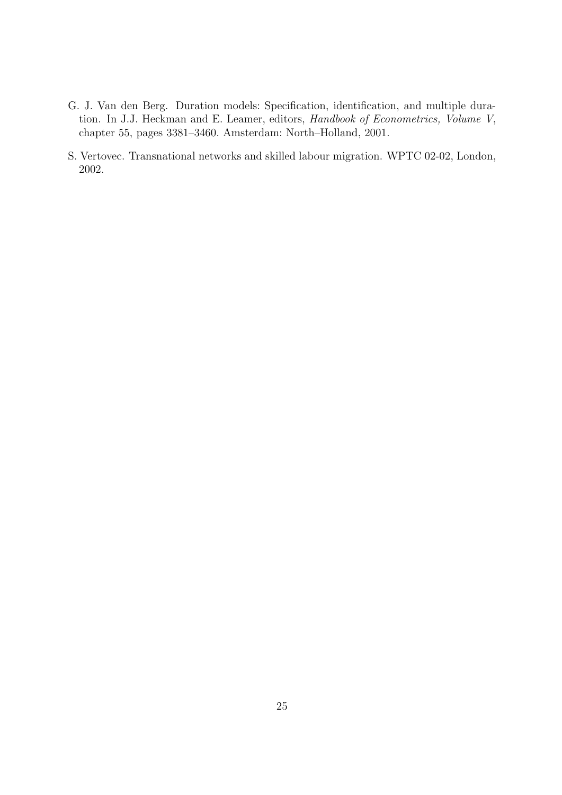- G. J. Van den Berg. Duration models: Specification, identification, and multiple duration. In J.J. Heckman and E. Leamer, editors, *Handbook of Econometrics, Volume V*, chapter 55, pages 3381–3460. Amsterdam: North–Holland, 2001.
- S. Vertovec. Transnational networks and skilled labour migration. WPTC 02-02, London, 2002.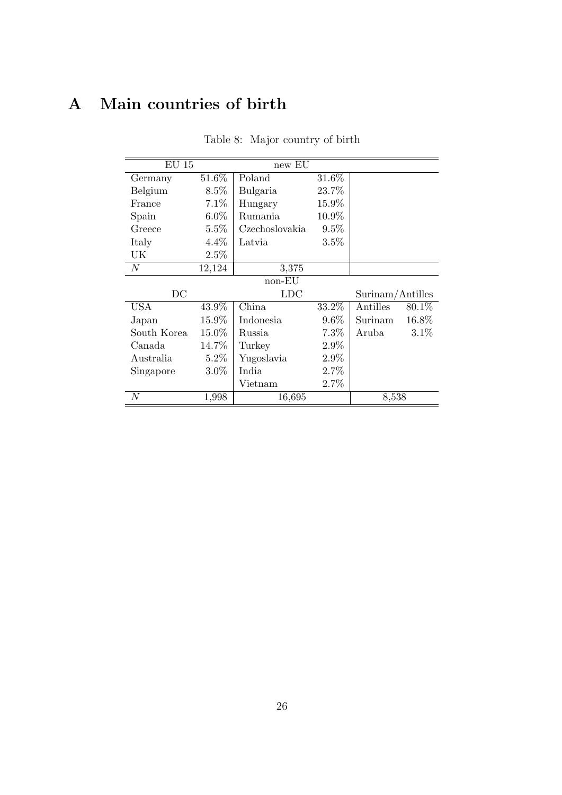## **A Main countries of birth**

| $EU$ 15          |         | new EU           |                  |          |        |  |
|------------------|---------|------------------|------------------|----------|--------|--|
| Germany          | 51.6%   | Poland           | $31.6\%$         |          |        |  |
| Belgium          | $8.5\%$ | Bulgaria         |                  |          |        |  |
| France           | $7.1\%$ | 15.9%<br>Hungary |                  |          |        |  |
| Spain            | $6.0\%$ | Rumania          | 10.9%            |          |        |  |
| Greece           | $5.5\%$ | Czechoslovakia   | $9.5\%$          |          |        |  |
| Italy            | $4.4\%$ | Latvia           | 3.5%             |          |        |  |
| UK               | 2.5%    |                  |                  |          |        |  |
| $\boldsymbol{N}$ | 12,124  | 3,375            |                  |          |        |  |
| non-EU           |         |                  |                  |          |        |  |
| DC               |         | <b>LDC</b>       | Surinam/Antilles |          |        |  |
| USA              | 43.9%   | China            | 33.2\%           | Antilles | 80.1\% |  |
| Japan            | 15.9%   | Indonesia        | $9.6\%$          | Surinam  | 16.8%  |  |
| South Korea      | 15.0%   | Russia           | 7.3%             | Aruba    | 3.1%   |  |
| Canada           | 14.7%   | Turkey           | 2.9%             |          |        |  |
| Australia        | $5.2\%$ | Yugoslavia       | 2.9%             |          |        |  |
| Singapore        | $3.0\%$ | India            | 2.7%             |          |        |  |
|                  |         | Vietnam          | 2.7%             |          |        |  |
| $\boldsymbol{N}$ | 1,998   | 16,695           |                  | 8,538    |        |  |

Table 8: Major country of birth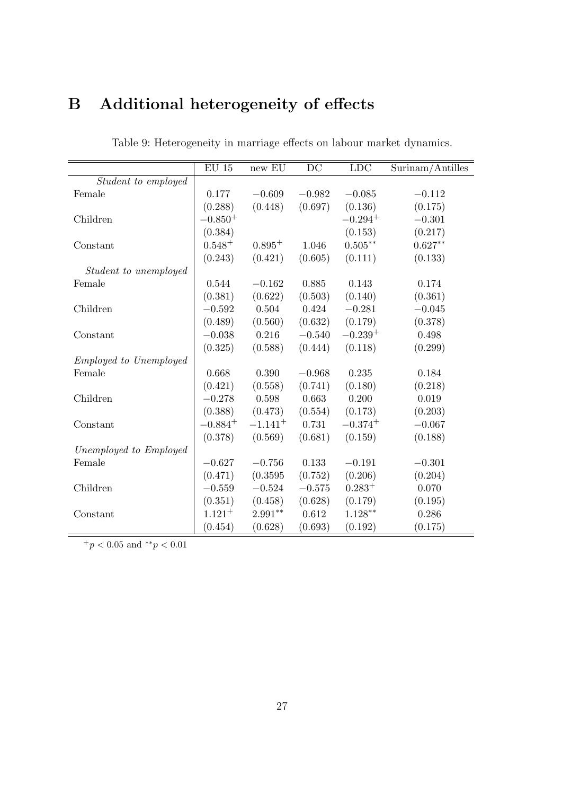# **B Additional heterogeneity of effects**

|                               | $\mathrm{EU}$ 15 | $new$ $EU$  | DC       | LDC          | Surinam/Antilles |
|-------------------------------|------------------|-------------|----------|--------------|------------------|
| Student to employed           |                  |             |          |              |                  |
| Female                        | 0.177            | $-0.609$    | $-0.982$ | $-0.085$     | $-0.112$         |
|                               | (0.288)          | (0.448)     | (0.697)  | (0.136)      | (0.175)          |
| Children                      | $-0.850^{+}$     |             |          | $-0.294^{+}$ | $-0.301$         |
|                               | (0.384)          |             |          | (0.153)      | (0.217)          |
| Constant                      | $0.548 +$        | $0.895^{+}$ | 1.046    | $0.505**$    | $0.627**$        |
|                               | (0.243)          | (0.421)     | (0.605)  | (0.111)      | (0.133)          |
| Student to unemployed         |                  |             |          |              |                  |
| Female                        | 0.544            | $-0.162$    | 0.885    | 0.143        | 0.174            |
|                               | (0.381)          | (0.622)     | (0.503)  | (0.140)      | (0.361)          |
| Children                      | $-0.592$         | 0.504       | 0.424    | $-0.281$     | $-0.045$         |
|                               | (0.489)          | (0.560)     | (0.632)  | (0.179)      | (0.378)          |
| Constant                      | $-0.038$         | 0.216       | $-0.540$ | $-0.239+$    | 0.498            |
|                               | (0.325)          | (0.588)     | (0.444)  | (0.118)      | (0.299)          |
| <i>Employed to Unemployed</i> |                  |             |          |              |                  |
| Female                        | 0.668            | 0.390       | $-0.968$ | 0.235        | 0.184            |
|                               | (0.421)          | (0.558)     | (0.741)  | (0.180)      | (0.218)          |
| Children                      | $-0.278$         | 0.598       | 0.663    | 0.200        | 0.019            |
|                               | (0.388)          | (0.473)     | (0.554)  | (0.173)      | (0.203)          |
| Constant                      | $-0.884^{+}$     | $-1.141+$   | 0.731    | $-0.374+$    | $-0.067$         |
|                               | (0.378)          | (0.569)     | (0.681)  | (0.159)      | (0.188)          |
| Unemployed to Employed        |                  |             |          |              |                  |
| Female                        | $-0.627$         | $-0.756$    | 0.133    | $-0.191$     | $-0.301$         |
|                               | (0.471)          | (0.3595)    | (0.752)  | (0.206)      | (0.204)          |
| Children                      | $-0.559$         | $-0.524$    | $-0.575$ | $0.283^{+}$  | 0.070            |
|                               | (0.351)          | (0.458)     | (0.628)  | (0.179)      | (0.195)          |
| Constant                      | $1.121 +$        | $2.991**$   | 0.612    | $1.128**$    | 0.286            |
|                               | (0.454)          | (0.628)     | (0.693)  | (0.192)      | (0.175)          |

Table 9: Heterogeneity in marriage effects on labour market dynamics.

 $+ p < 0.05$  and  $*^* p < 0.01$